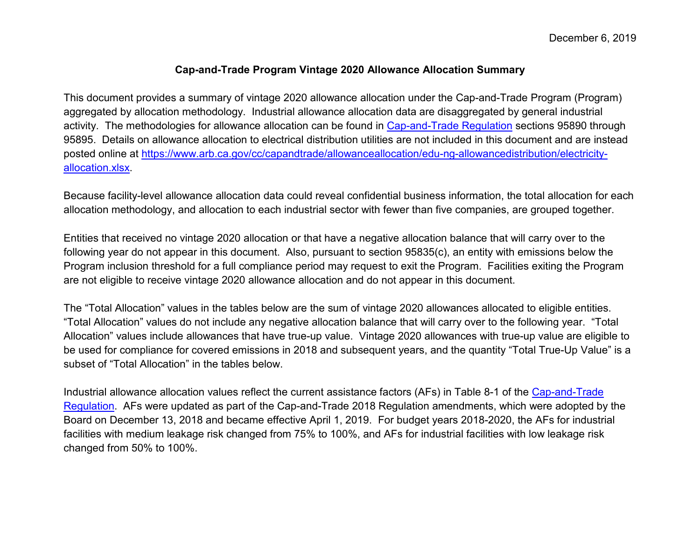#### **Cap-and-Trade Program Vintage 2020 Allowance Allocation Summary**

This document provides a summary of vintage 2020 allowance allocation under the Cap-and-Trade Program (Program) aggregated by allocation methodology. Industrial allowance allocation data are disaggregated by general industrial activity. The methodologies for allowance allocation can be found in [Cap-and-Trade Regulation](https://ww3.arb.ca.gov/cc/capandtrade/ct_reg_unofficial.pdf) sections 95890 through 95895. Details on allowance allocation to electrical distribution utilities are not included in this document and are instead posted online at [https://www.arb.ca.gov/cc/capandtrade/allowanceallocation/edu-ng-allowancedistribution/electricity](https://www.arb.ca.gov/cc/capandtrade/allowanceallocation/edu-ng-allowancedistribution/electricity-allocation.xlsx)[allocation.xlsx.](https://www.arb.ca.gov/cc/capandtrade/allowanceallocation/edu-ng-allowancedistribution/electricity-allocation.xlsx)

Because facility-level allowance allocation data could reveal confidential business information, the total allocation for each allocation methodology, and allocation to each industrial sector with fewer than five companies, are grouped together.

Entities that received no vintage 2020 allocation or that have a negative allocation balance that will carry over to the following year do not appear in this document. Also, pursuant to section 95835(c), an entity with emissions below the Program inclusion threshold for a full compliance period may request to exit the Program. Facilities exiting the Program are not eligible to receive vintage 2020 allowance allocation and do not appear in this document.

The "Total Allocation" values in the tables below are the sum of vintage 2020 allowances allocated to eligible entities. "Total Allocation" values do not include any negative allocation balance that will carry over to the following year. "Total Allocation" values include allowances that have true-up value. Vintage 2020 allowances with true-up value are eligible to be used for compliance for covered emissions in 2018 and subsequent years, and the quantity "Total True-Up Value" is a subset of "Total Allocation" in the tables below.

Industrial allowance allocation values reflect the current assistance factors (AFs) in Table 8-1 of the [Cap-and-Trade](https://ww3.arb.ca.gov/cc/capandtrade/ct_reg_unofficial.pdf)  [Regulation.](https://ww3.arb.ca.gov/cc/capandtrade/capandtrade/ct_reg_unofficial.pdf) AFs were updated as part of the Cap-and-Trade 2018 Regulation amendments, which were adopted by the Board on December 13, 2018 and became effective April 1, 2019. For budget years 2018-2020, the AFs for industrial facilities with medium leakage risk changed from 75% to 100%, and AFs for industrial facilities with low leakage risk changed from 50% to 100%.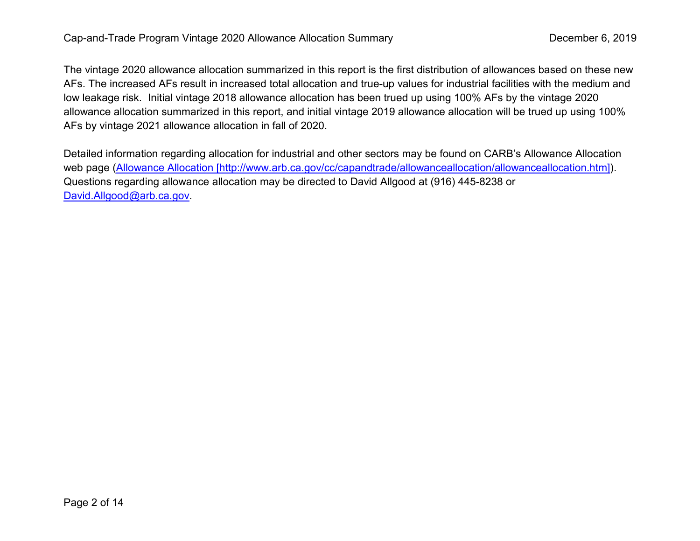The vintage 2020 allowance allocation summarized in this report is the first distribution of allowances based on these new AFs. The increased AFs result in increased total allocation and true-up values for industrial facilities with the medium and low leakage risk. Initial vintage 2018 allowance allocation has been trued up using 100% AFs by the vintage 2020 allowance allocation summarized in this report, and initial vintage 2019 allowance allocation will be trued up using 100% AFs by vintage 2021 allowance allocation in fall of 2020.

Detailed information regarding allocation for industrial and other sectors may be found on CARB's Allowance Allocation web page [\(Allowance Allocation \[http://www.arb.ca.gov/cc/capandtrade/allowanceallocation/allowanceallocation.htm\]\)](http://www.arb.ca.gov/cc/capandtrade/allowanceallocation/allowanceallocation.htm). Questions regarding allowance allocation may be directed to David Allgood at (916) 445-8238 or [David.Allgood@arb.ca.gov.](mailto:David.Allgood@arb.ca.gov)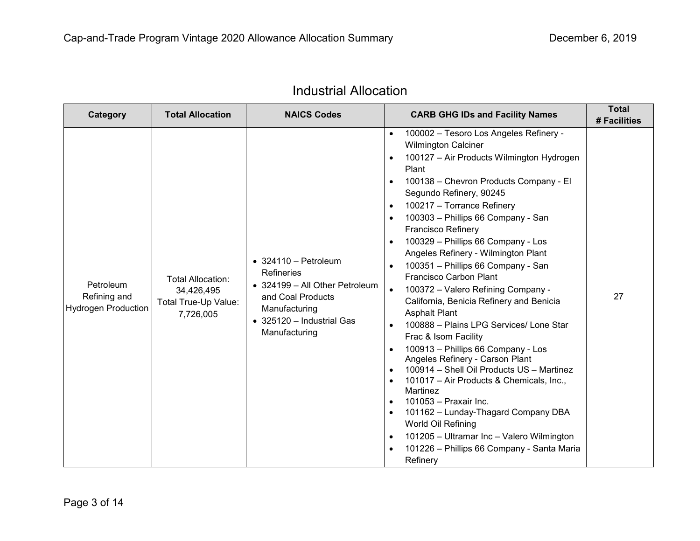| Category                                                | <b>Total Allocation</b>                                                     | <b>NAICS Codes</b>                                                                                                                                                      | <b>CARB GHG IDs and Facility Names</b>                                                                                                                                                                                                                                                                                                                                                                                                                                                                                                                                                                                                                                                                                                                                                                                                                                                                                                                                                                                                                                                                                                                                                                                       | <b>Total</b><br># Facilities |
|---------------------------------------------------------|-----------------------------------------------------------------------------|-------------------------------------------------------------------------------------------------------------------------------------------------------------------------|------------------------------------------------------------------------------------------------------------------------------------------------------------------------------------------------------------------------------------------------------------------------------------------------------------------------------------------------------------------------------------------------------------------------------------------------------------------------------------------------------------------------------------------------------------------------------------------------------------------------------------------------------------------------------------------------------------------------------------------------------------------------------------------------------------------------------------------------------------------------------------------------------------------------------------------------------------------------------------------------------------------------------------------------------------------------------------------------------------------------------------------------------------------------------------------------------------------------------|------------------------------|
| Petroleum<br>Refining and<br><b>Hydrogen Production</b> | <b>Total Allocation:</b><br>34,426,495<br>Total True-Up Value:<br>7,726,005 | $\bullet$ 324110 - Petroleum<br><b>Refineries</b><br>• 324199 - All Other Petroleum<br>and Coal Products<br>Manufacturing<br>• 325120 - Industrial Gas<br>Manufacturing | 100002 - Tesoro Los Angeles Refinery -<br>$\bullet$<br><b>Wilmington Calciner</b><br>100127 - Air Products Wilmington Hydrogen<br>$\bullet$<br>Plant<br>100138 - Chevron Products Company - El<br>$\bullet$<br>Segundo Refinery, 90245<br>100217 - Torrance Refinery<br>$\bullet$<br>100303 - Phillips 66 Company - San<br>$\bullet$<br><b>Francisco Refinery</b><br>100329 - Phillips 66 Company - Los<br>$\bullet$<br>Angeles Refinery - Wilmington Plant<br>100351 - Phillips 66 Company - San<br>$\bullet$<br><b>Francisco Carbon Plant</b><br>100372 - Valero Refining Company -<br>$\bullet$<br>California, Benicia Refinery and Benicia<br><b>Asphalt Plant</b><br>100888 - Plains LPG Services/ Lone Star<br>$\bullet$<br>Frac & Isom Facility<br>100913 - Phillips 66 Company - Los<br>$\bullet$<br>Angeles Refinery - Carson Plant<br>100914 - Shell Oil Products US - Martinez<br>$\bullet$<br>101017 - Air Products & Chemicals, Inc.,<br>$\bullet$<br>Martinez<br>101053 - Praxair Inc.<br>$\bullet$<br>101162 - Lunday-Thagard Company DBA<br>$\bullet$<br>World Oil Refining<br>101205 - Ultramar Inc - Valero Wilmington<br>$\bullet$<br>101226 - Phillips 66 Company - Santa Maria<br>$\bullet$<br>Refinery | 27                           |

# Industrial Allocation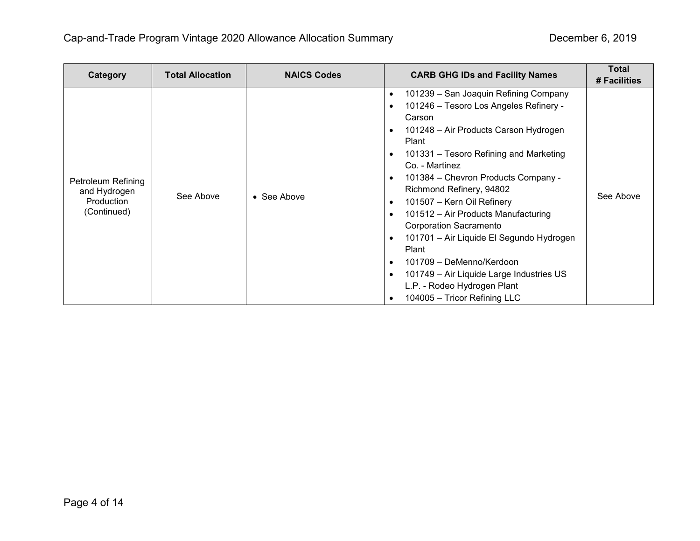| Category                                                        | <b>Total Allocation</b> | <b>NAICS Codes</b> | <b>CARB GHG IDs and Facility Names</b>                                                                                                                                                                                                                                                                                                                                                                                                                                                                                                                                                                                                                                                                                      | <b>Total</b><br># Facilities |
|-----------------------------------------------------------------|-------------------------|--------------------|-----------------------------------------------------------------------------------------------------------------------------------------------------------------------------------------------------------------------------------------------------------------------------------------------------------------------------------------------------------------------------------------------------------------------------------------------------------------------------------------------------------------------------------------------------------------------------------------------------------------------------------------------------------------------------------------------------------------------------|------------------------------|
| Petroleum Refining<br>and Hydrogen<br>Production<br>(Continued) | See Above               | • See Above        | 101239 - San Joaquin Refining Company<br>$\bullet$<br>101246 - Tesoro Los Angeles Refinery -<br>$\bullet$<br>Carson<br>101248 - Air Products Carson Hydrogen<br>$\bullet$<br>Plant<br>101331 - Tesoro Refining and Marketing<br>$\bullet$<br>Co. - Martinez<br>101384 - Chevron Products Company -<br>$\bullet$<br>Richmond Refinery, 94802<br>101507 - Kern Oil Refinery<br>$\bullet$<br>101512 - Air Products Manufacturing<br>$\bullet$<br><b>Corporation Sacramento</b><br>101701 - Air Liquide El Segundo Hydrogen<br>$\bullet$<br>Plant<br>101709 - DeMenno/Kerdoon<br>$\bullet$<br>101749 - Air Liquide Large Industries US<br>$\bullet$<br>L.P. - Rodeo Hydrogen Plant<br>104005 - Tricor Refining LLC<br>$\bullet$ | See Above                    |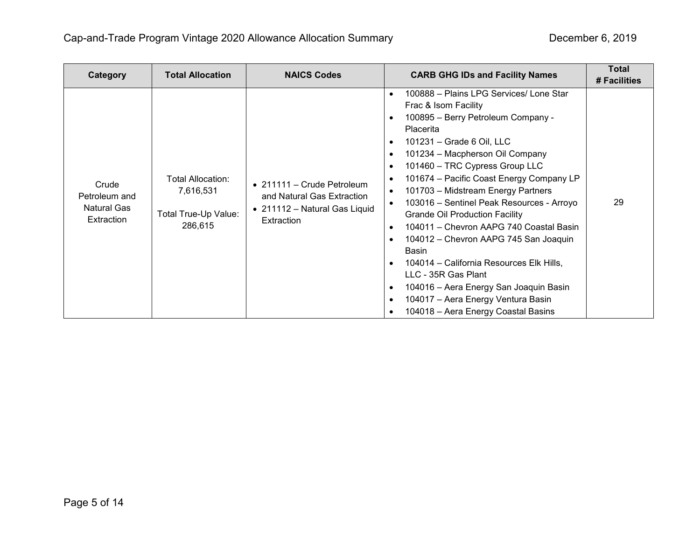| Category                                                   | <b>Total Allocation</b>                                           | <b>NAICS Codes</b>                                                                                      | <b>CARB GHG IDs and Facility Names</b>                                                                                                                                                                                                                                                                                                                                                                                                                                                                                                                                                                                                                                                                                                                                                                                                                                    | <b>Total</b><br># Facilities |
|------------------------------------------------------------|-------------------------------------------------------------------|---------------------------------------------------------------------------------------------------------|---------------------------------------------------------------------------------------------------------------------------------------------------------------------------------------------------------------------------------------------------------------------------------------------------------------------------------------------------------------------------------------------------------------------------------------------------------------------------------------------------------------------------------------------------------------------------------------------------------------------------------------------------------------------------------------------------------------------------------------------------------------------------------------------------------------------------------------------------------------------------|------------------------------|
| Crude<br>Petroleum and<br><b>Natural Gas</b><br>Extraction | Total Allocation:<br>7,616,531<br>Total True-Up Value:<br>286,615 | • 211111 – Crude Petroleum<br>and Natural Gas Extraction<br>• 211112 - Natural Gas Liquid<br>Extraction | 100888 - Plains LPG Services/ Lone Star<br>$\bullet$<br>Frac & Isom Facility<br>100895 - Berry Petroleum Company -<br>$\bullet$<br>Placerita<br>101231 - Grade 6 Oil, LLC<br>$\bullet$<br>101234 - Macpherson Oil Company<br>$\bullet$<br>101460 - TRC Cypress Group LLC<br>$\bullet$<br>101674 – Pacific Coast Energy Company LP<br>$\bullet$<br>101703 - Midstream Energy Partners<br>$\bullet$<br>103016 - Sentinel Peak Resources - Arroyo<br>$\bullet$<br><b>Grande Oil Production Facility</b><br>104011 - Chevron AAPG 740 Coastal Basin<br>$\bullet$<br>104012 - Chevron AAPG 745 San Joaquin<br>$\bullet$<br>Basin<br>104014 – California Resources Elk Hills,<br>$\bullet$<br>LLC - 35R Gas Plant<br>104016 - Aera Energy San Joaquin Basin<br>$\bullet$<br>104017 - Aera Energy Ventura Basin<br>$\bullet$<br>104018 - Aera Energy Coastal Basins<br>$\bullet$ | 29                           |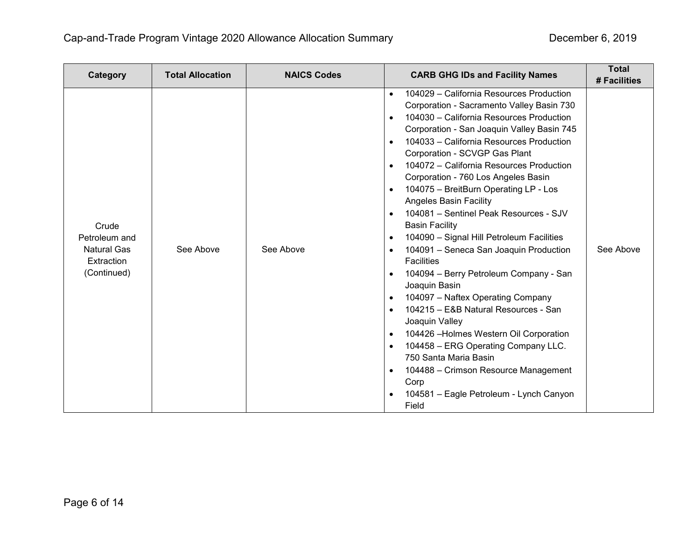| Category                                                                  | <b>Total Allocation</b> | <b>NAICS Codes</b> | <b>CARB GHG IDs and Facility Names</b>                                                                                                                                                                                                                                                                                                                                                                                                                                                                                                                                                                                                                                                                                                                                                                                                                                                                                                                                                                                                                                                                                                                                               | <b>Total</b><br># Facilities |
|---------------------------------------------------------------------------|-------------------------|--------------------|--------------------------------------------------------------------------------------------------------------------------------------------------------------------------------------------------------------------------------------------------------------------------------------------------------------------------------------------------------------------------------------------------------------------------------------------------------------------------------------------------------------------------------------------------------------------------------------------------------------------------------------------------------------------------------------------------------------------------------------------------------------------------------------------------------------------------------------------------------------------------------------------------------------------------------------------------------------------------------------------------------------------------------------------------------------------------------------------------------------------------------------------------------------------------------------|------------------------------|
| Crude<br>Petroleum and<br><b>Natural Gas</b><br>Extraction<br>(Continued) | See Above               | See Above          | 104029 - California Resources Production<br>$\bullet$<br>Corporation - Sacramento Valley Basin 730<br>104030 - California Resources Production<br>$\bullet$<br>Corporation - San Joaquin Valley Basin 745<br>104033 - California Resources Production<br>$\bullet$<br>Corporation - SCVGP Gas Plant<br>104072 - California Resources Production<br>$\bullet$<br>Corporation - 760 Los Angeles Basin<br>104075 - BreitBurn Operating LP - Los<br>$\bullet$<br><b>Angeles Basin Facility</b><br>104081 - Sentinel Peak Resources - SJV<br>$\bullet$<br><b>Basin Facility</b><br>104090 - Signal Hill Petroleum Facilities<br>$\bullet$<br>104091 - Seneca San Joaquin Production<br>$\bullet$<br><b>Facilities</b><br>104094 - Berry Petroleum Company - San<br>$\bullet$<br>Joaquin Basin<br>104097 - Naftex Operating Company<br>$\bullet$<br>104215 - E&B Natural Resources - San<br>$\bullet$<br>Joaquin Valley<br>104426 - Holmes Western Oil Corporation<br>$\bullet$<br>104458 - ERG Operating Company LLC.<br>$\bullet$<br>750 Santa Maria Basin<br>104488 - Crimson Resource Management<br>$\bullet$<br>Corp<br>104581 - Eagle Petroleum - Lynch Canyon<br>$\bullet$<br>Field | See Above                    |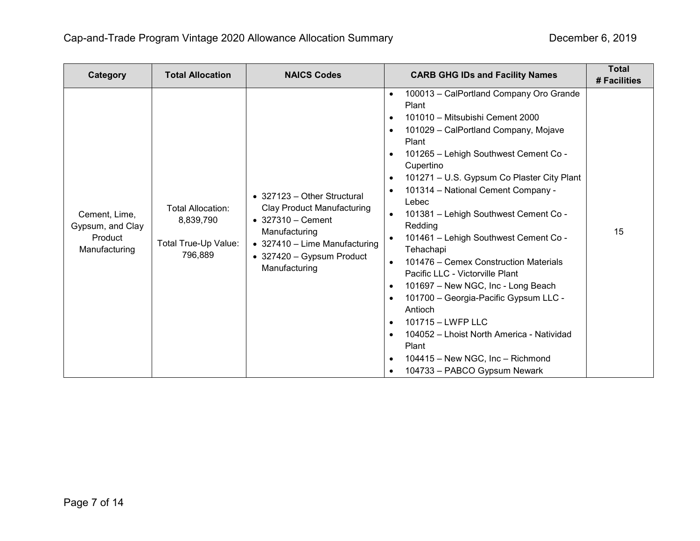| Category                                                      | <b>Total Allocation</b>                                           | <b>NAICS Codes</b>                                                                                                                                                                            | <b>CARB GHG IDs and Facility Names</b>                                                                                                                                                                                                                                                                                                                                                                                                                                                                                                                                                                                                                                                                                                                                                                                                                                                          | <b>Total</b><br># Facilities |
|---------------------------------------------------------------|-------------------------------------------------------------------|-----------------------------------------------------------------------------------------------------------------------------------------------------------------------------------------------|-------------------------------------------------------------------------------------------------------------------------------------------------------------------------------------------------------------------------------------------------------------------------------------------------------------------------------------------------------------------------------------------------------------------------------------------------------------------------------------------------------------------------------------------------------------------------------------------------------------------------------------------------------------------------------------------------------------------------------------------------------------------------------------------------------------------------------------------------------------------------------------------------|------------------------------|
| Cement, Lime,<br>Gypsum, and Clay<br>Product<br>Manufacturing | Total Allocation:<br>8,839,790<br>Total True-Up Value:<br>796,889 | • 327123 – Other Structural<br><b>Clay Product Manufacturing</b><br>$\bullet$ 327310 - Cement<br>Manufacturing<br>• 327410 - Lime Manufacturing<br>• 327420 - Gypsum Product<br>Manufacturing | 100013 - CalPortland Company Oro Grande<br>$\bullet$<br>Plant<br>101010 - Mitsubishi Cement 2000<br>$\bullet$<br>101029 - CalPortland Company, Mojave<br>$\bullet$<br>Plant<br>101265 - Lehigh Southwest Cement Co -<br>$\bullet$<br>Cupertino<br>101271 - U.S. Gypsum Co Plaster City Plant<br>$\bullet$<br>101314 - National Cement Company -<br>Lebec<br>101381 - Lehigh Southwest Cement Co -<br>$\bullet$<br>Redding<br>101461 - Lehigh Southwest Cement Co -<br>Tehachapi<br>101476 – Cemex Construction Materials<br>$\bullet$<br>Pacific LLC - Victorville Plant<br>101697 - New NGC, Inc - Long Beach<br>$\bullet$<br>101700 - Georgia-Pacific Gypsum LLC -<br>$\bullet$<br>Antioch<br>101715 - LWFP LLC<br>$\bullet$<br>104052 - Lhoist North America - Natividad<br>$\bullet$<br>Plant<br>104415 - New NGC, Inc - Richmond<br>$\bullet$<br>104733 - PABCO Gypsum Newark<br>$\bullet$ | 15                           |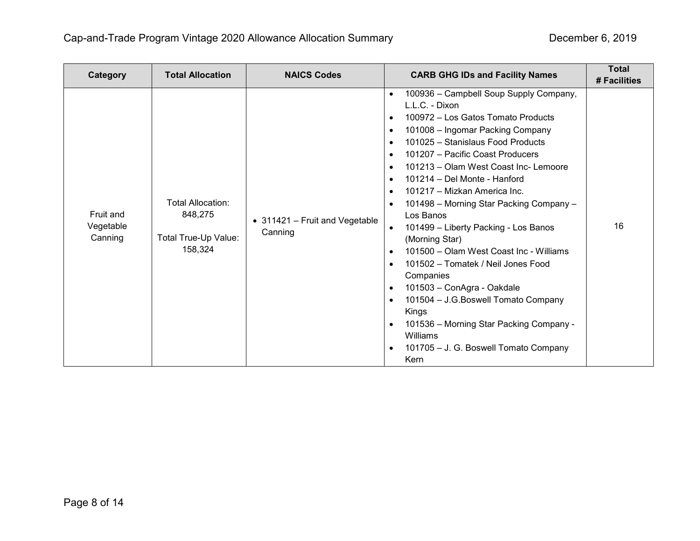| Category                          | <b>Total Allocation</b>                                                | <b>NAICS Codes</b>                        | <b>CARB GHG IDs and Facility Names</b>                                                                                                                                                                                                                                                                                                                                                                                                                                                                                                                                                                                                                                                                                                                                                                                                                                                                                                      | <b>Total</b><br># Facilities |
|-----------------------------------|------------------------------------------------------------------------|-------------------------------------------|---------------------------------------------------------------------------------------------------------------------------------------------------------------------------------------------------------------------------------------------------------------------------------------------------------------------------------------------------------------------------------------------------------------------------------------------------------------------------------------------------------------------------------------------------------------------------------------------------------------------------------------------------------------------------------------------------------------------------------------------------------------------------------------------------------------------------------------------------------------------------------------------------------------------------------------------|------------------------------|
| Fruit and<br>Vegetable<br>Canning | <b>Total Allocation:</b><br>848,275<br>Total True-Up Value:<br>158,324 | • 311421 - Fruit and Vegetable<br>Canning | 100936 - Campbell Soup Supply Company,<br>$\bullet$<br>L.L.C. - Dixon<br>100972 - Los Gatos Tomato Products<br>$\bullet$<br>101008 - Ingomar Packing Company<br>$\bullet$<br>101025 - Stanislaus Food Products<br>$\bullet$<br>101207 - Pacific Coast Producers<br>$\bullet$<br>101213 - Olam West Coast Inc- Lemoore<br>$\bullet$<br>101214 - Del Monte - Hanford<br>$\bullet$<br>101217 - Mizkan America Inc.<br>$\bullet$<br>101498 - Morning Star Packing Company -<br>$\bullet$<br>Los Banos<br>101499 - Liberty Packing - Los Banos<br>$\bullet$<br>(Morning Star)<br>101500 - Olam West Coast Inc - Williams<br>$\bullet$<br>101502 - Tomatek / Neil Jones Food<br>$\bullet$<br>Companies<br>101503 - ConAgra - Oakdale<br>$\bullet$<br>101504 - J.G. Boswell Tomato Company<br>$\bullet$<br>Kings<br>101536 - Morning Star Packing Company -<br>$\bullet$<br>Williams<br>101705 - J. G. Boswell Tomato Company<br>$\bullet$<br>Kern | 16                           |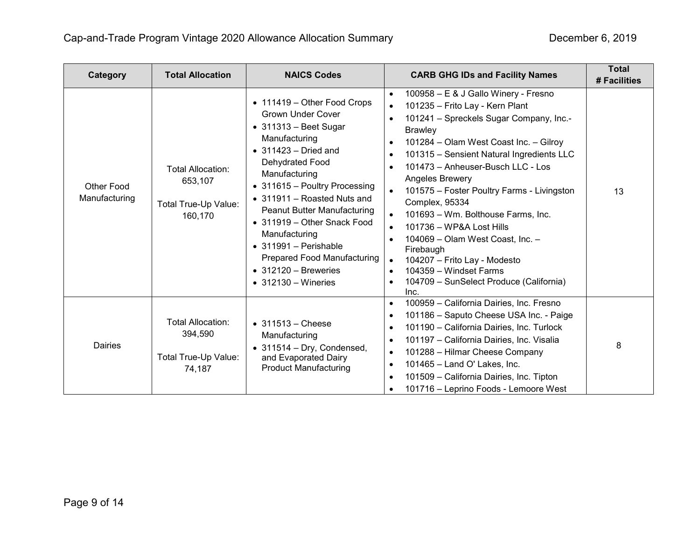| Category                    | <b>Total Allocation</b>                                                | <b>NAICS Codes</b>                                                                                                                                                                                                                                                                                                                                                                                                                                                 | <b>CARB GHG IDs and Facility Names</b>                                                                                                                                                                                                                                                                                                                                                                                                                                                                                                                                                                                                                                                                                                          | <b>Total</b><br># Facilities |
|-----------------------------|------------------------------------------------------------------------|--------------------------------------------------------------------------------------------------------------------------------------------------------------------------------------------------------------------------------------------------------------------------------------------------------------------------------------------------------------------------------------------------------------------------------------------------------------------|-------------------------------------------------------------------------------------------------------------------------------------------------------------------------------------------------------------------------------------------------------------------------------------------------------------------------------------------------------------------------------------------------------------------------------------------------------------------------------------------------------------------------------------------------------------------------------------------------------------------------------------------------------------------------------------------------------------------------------------------------|------------------------------|
| Other Food<br>Manufacturing | <b>Total Allocation:</b><br>653,107<br>Total True-Up Value:<br>160,170 | • 111419 - Other Food Crops<br><b>Grown Under Cover</b><br>$\bullet$ 311313 - Beet Sugar<br>Manufacturing<br>$\bullet$ 311423 - Dried and<br>Dehydrated Food<br>Manufacturing<br>• 311615 - Poultry Processing<br>• 311911 - Roasted Nuts and<br>Peanut Butter Manufacturing<br>• 311919 – Other Snack Food<br>Manufacturing<br>$\bullet$ 311991 - Perishable<br><b>Prepared Food Manufacturing</b><br>$\bullet$ 312120 - Breweries<br>$\bullet$ 312130 – Wineries | 100958 - E & J Gallo Winery - Fresno<br>$\bullet$<br>101235 - Frito Lay - Kern Plant<br>$\bullet$<br>101241 - Spreckels Sugar Company, Inc.-<br>$\bullet$<br><b>Brawley</b><br>101284 - Olam West Coast Inc. - Gilroy<br>$\bullet$<br>101315 - Sensient Natural Ingredients LLC<br>$\bullet$<br>101473 - Anheuser-Busch LLC - Los<br>$\bullet$<br>Angeles Brewery<br>101575 – Foster Poultry Farms - Livingston<br>$\bullet$<br>Complex, 95334<br>101693 - Wm. Bolthouse Farms, Inc.<br>101736 - WP&A Lost Hills<br>$\bullet$<br>104069 - Olam West Coast, Inc. -<br>$\bullet$<br>Firebaugh<br>104207 - Frito Lay - Modesto<br>$\bullet$<br>104359 - Windset Farms<br>$\bullet$<br>104709 - SunSelect Produce (California)<br>$\bullet$<br>Inc. | 13                           |
| Dairies                     | <b>Total Allocation:</b><br>394,590<br>Total True-Up Value:<br>74,187  | $\bullet$ 311513 - Cheese<br>Manufacturing<br>$\bullet$ 311514 - Dry, Condensed,<br>and Evaporated Dairy<br><b>Product Manufacturing</b>                                                                                                                                                                                                                                                                                                                           | 100959 - California Dairies, Inc. Fresno<br>$\bullet$<br>101186 - Saputo Cheese USA Inc. - Paige<br>$\bullet$<br>101190 - California Dairies, Inc. Turlock<br>$\bullet$<br>101197 - California Dairies, Inc. Visalia<br>$\bullet$<br>101288 - Hilmar Cheese Company<br>$\bullet$<br>101465 - Land O' Lakes, Inc.<br>$\bullet$<br>101509 - California Dairies, Inc. Tipton<br>$\bullet$<br>101716 - Leprino Foods - Lemoore West<br>$\bullet$                                                                                                                                                                                                                                                                                                    | 8                            |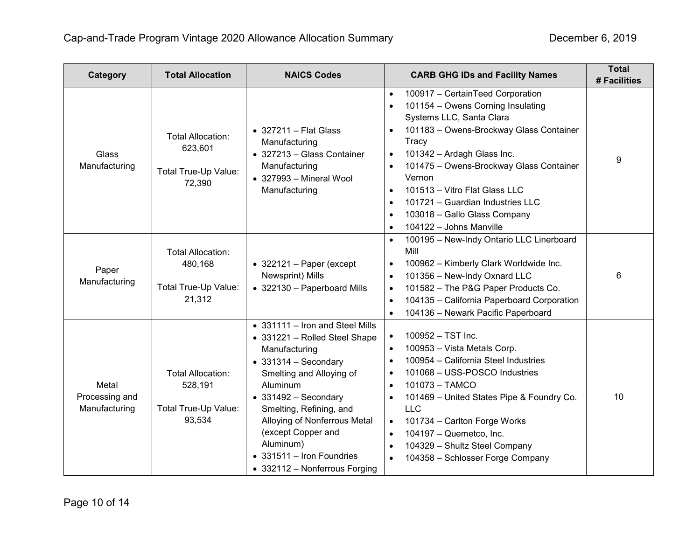| Category                                 | <b>Total Allocation</b>                                               | <b>NAICS Codes</b>                                                                                                                                                                                                                                                                                                                                    | <b>CARB GHG IDs and Facility Names</b>                                                                                                                                                                                                                                                                                                                                                                                                                                           | <b>Total</b><br># Facilities |
|------------------------------------------|-----------------------------------------------------------------------|-------------------------------------------------------------------------------------------------------------------------------------------------------------------------------------------------------------------------------------------------------------------------------------------------------------------------------------------------------|----------------------------------------------------------------------------------------------------------------------------------------------------------------------------------------------------------------------------------------------------------------------------------------------------------------------------------------------------------------------------------------------------------------------------------------------------------------------------------|------------------------------|
| <b>Glass</b><br>Manufacturing            | <b>Total Allocation:</b><br>623,601<br>Total True-Up Value:<br>72,390 | $\bullet$ 327211 - Flat Glass<br>Manufacturing<br>• 327213 - Glass Container<br>Manufacturing<br>$\bullet$ 327993 - Mineral Wool<br>Manufacturing                                                                                                                                                                                                     | 100917 - CertainTeed Corporation<br>$\bullet$<br>101154 - Owens Corning Insulating<br>$\bullet$<br>Systems LLC, Santa Clara<br>101183 - Owens-Brockway Glass Container<br>Tracy<br>101342 - Ardagh Glass Inc.<br>$\bullet$<br>101475 - Owens-Brockway Glass Container<br>$\bullet$<br>Vernon<br>101513 - Vitro Flat Glass LLC<br>$\bullet$<br>101721 - Guardian Industries LLC<br>$\bullet$<br>103018 - Gallo Glass Company<br>$\bullet$<br>104122 - Johns Manville<br>$\bullet$ | 9                            |
| Paper<br>Manufacturing                   | <b>Total Allocation:</b><br>480,168<br>Total True-Up Value:<br>21,312 | $\bullet$ 322121 - Paper (except<br>Newsprint) Mills<br>• 322130 - Paperboard Mills                                                                                                                                                                                                                                                                   | 100195 - New-Indy Ontario LLC Linerboard<br>$\bullet$<br>Mill<br>100962 - Kimberly Clark Worldwide Inc.<br>$\bullet$<br>101356 - New-Indy Oxnard LLC<br>$\bullet$<br>101582 - The P&G Paper Products Co.<br>$\bullet$<br>104135 - California Paperboard Corporation<br>$\bullet$<br>104136 - Newark Pacific Paperboard                                                                                                                                                           | 6                            |
| Metal<br>Processing and<br>Manufacturing | <b>Total Allocation:</b><br>528,191<br>Total True-Up Value:<br>93,534 | • 331111 - Iron and Steel Mills<br>• 331221 - Rolled Steel Shape<br>Manufacturing<br>$\bullet$ 331314 - Secondary<br>Smelting and Alloying of<br>Aluminum<br>$\bullet$ 331492 - Secondary<br>Smelting, Refining, and<br>Alloying of Nonferrous Metal<br>(except Copper and<br>Aluminum)<br>• 331511 - Iron Foundries<br>• 332112 - Nonferrous Forging | 100952 - TST Inc.<br>$\bullet$<br>100953 - Vista Metals Corp.<br>$\bullet$<br>100954 - California Steel Industries<br>$\bullet$<br>101068 - USS-POSCO Industries<br>$\bullet$<br>101073 - TAMCO<br>$\bullet$<br>101469 - United States Pipe & Foundry Co.<br>$\bullet$<br><b>LLC</b><br>101734 - Carlton Forge Works<br>$\bullet$<br>104197 - Quemetco, Inc.<br>$\bullet$<br>104329 - Shultz Steel Company<br>$\bullet$<br>104358 - Schlosser Forge Company<br>$\bullet$         | 10                           |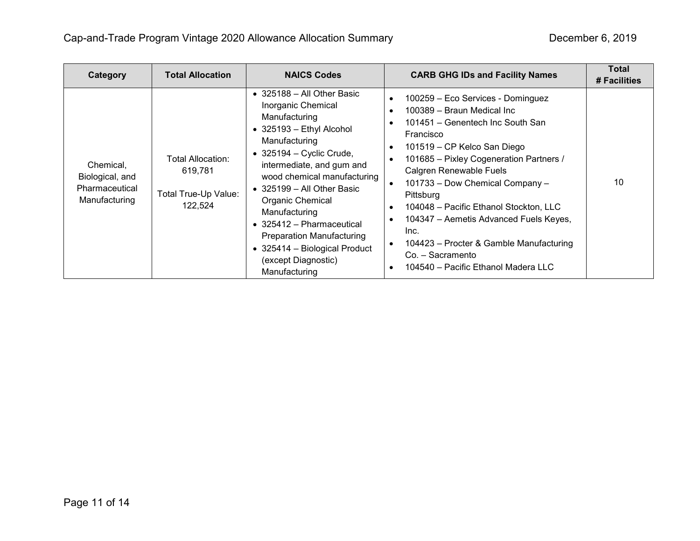| Category                                                        | <b>Total Allocation</b>                                         | <b>NAICS Codes</b>                                                                                                                                                                                                                                                                                                                                                                                                                                  | <b>CARB GHG IDs and Facility Names</b>                                                                                                                                                                                                                                                                                                                                                                                                                                                                                                                                                                    | <b>Total</b><br># Facilities |
|-----------------------------------------------------------------|-----------------------------------------------------------------|-----------------------------------------------------------------------------------------------------------------------------------------------------------------------------------------------------------------------------------------------------------------------------------------------------------------------------------------------------------------------------------------------------------------------------------------------------|-----------------------------------------------------------------------------------------------------------------------------------------------------------------------------------------------------------------------------------------------------------------------------------------------------------------------------------------------------------------------------------------------------------------------------------------------------------------------------------------------------------------------------------------------------------------------------------------------------------|------------------------------|
| Chemical,<br>Biological, and<br>Pharmaceutical<br>Manufacturing | Total Allocation:<br>619,781<br>Total True-Up Value:<br>122,524 | $\bullet$ 325188 - All Other Basic<br>Inorganic Chemical<br>Manufacturing<br>• 325193 - Ethyl Alcohol<br>Manufacturing<br>$\bullet$ 325194 - Cyclic Crude,<br>intermediate, and gum and<br>wood chemical manufacturing<br>$\bullet$ 325199 - All Other Basic<br>Organic Chemical<br>Manufacturing<br>• 325412 - Pharmaceutical<br><b>Preparation Manufacturing</b><br>$\bullet$ 325414 - Biological Product<br>(except Diagnostic)<br>Manufacturing | 100259 - Eco Services - Dominguez<br>$\bullet$<br>100389 - Braun Medical Inc<br>$\bullet$<br>101451 – Genentech Inc South San<br>$\bullet$<br>Francisco<br>101519 - CP Kelco San Diego<br>$\bullet$<br>101685 - Pixley Cogeneration Partners /<br>$\bullet$<br>Calgren Renewable Fuels<br>101733 - Dow Chemical Company -<br>$\bullet$<br>Pittsburg<br>104048 - Pacific Ethanol Stockton, LLC<br>$\bullet$<br>104347 - Aemetis Advanced Fuels Keyes,<br>$\bullet$<br>Inc.<br>104423 – Procter & Gamble Manufacturing<br>$\bullet$<br>Co. - Sacramento<br>104540 - Pacific Ethanol Madera LLC<br>$\bullet$ | 10                           |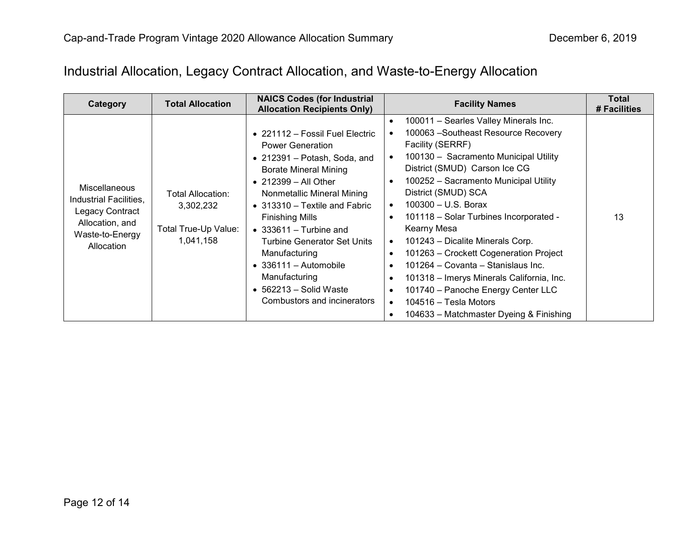# Industrial Allocation, Legacy Contract Allocation, and Waste-to-Energy Allocation

| Category                                                                                                       | <b>Total Allocation</b>                                             | <b>NAICS Codes (for Industrial</b><br><b>Allocation Recipients Only)</b>                                                                                                                                                                                                                                                                                                                                                                                          | <b>Facility Names</b>                                                                                                                                                                                                                                                                                                                                                                                                                                                                                                                                                                                                                                                                                                                                                | <b>Total</b><br># Facilities |
|----------------------------------------------------------------------------------------------------------------|---------------------------------------------------------------------|-------------------------------------------------------------------------------------------------------------------------------------------------------------------------------------------------------------------------------------------------------------------------------------------------------------------------------------------------------------------------------------------------------------------------------------------------------------------|----------------------------------------------------------------------------------------------------------------------------------------------------------------------------------------------------------------------------------------------------------------------------------------------------------------------------------------------------------------------------------------------------------------------------------------------------------------------------------------------------------------------------------------------------------------------------------------------------------------------------------------------------------------------------------------------------------------------------------------------------------------------|------------------------------|
| Miscellaneous<br>Industrial Facilities,<br>Legacy Contract<br>Allocation, and<br>Waste-to-Energy<br>Allocation | Total Allocation:<br>3,302,232<br>Total True-Up Value:<br>1,041,158 | • 221112 - Fossil Fuel Electric<br><b>Power Generation</b><br>• 212391 – Potash, Soda, and<br><b>Borate Mineral Mining</b><br>$\bullet$ 212399 - All Other<br>Nonmetallic Mineral Mining<br>• $313310$ – Textile and Fabric<br><b>Finishing Mills</b><br>$\bullet$ 333611 – Turbine and<br><b>Turbine Generator Set Units</b><br>Manufacturing<br>$\bullet$ 336111 - Automobile<br>Manufacturing<br>$\bullet$ 562213 – Solid Waste<br>Combustors and incinerators | 100011 - Searles Valley Minerals Inc.<br>$\bullet$<br>100063 - Southeast Resource Recovery<br>Facility (SERRF)<br>100130 - Sacramento Municipal Utility<br>$\bullet$<br>District (SMUD) Carson Ice CG<br>100252 - Sacramento Municipal Utility<br>$\bullet$<br>District (SMUD) SCA<br>$100300 - U.S.$ Borax<br>$\bullet$<br>101118 - Solar Turbines Incorporated -<br>$\bullet$<br>Kearny Mesa<br>101243 - Dicalite Minerals Corp.<br>$\bullet$<br>101263 – Crockett Cogeneration Project<br>$\bullet$<br>101264 - Covanta - Stanislaus Inc.<br>$\bullet$<br>101318 - Imerys Minerals California, Inc.<br>$\bullet$<br>101740 - Panoche Energy Center LLC<br>$\bullet$<br>104516 - Tesla Motors<br>$\bullet$<br>104633 – Matchmaster Dyeing & Finishing<br>$\bullet$ | 13                           |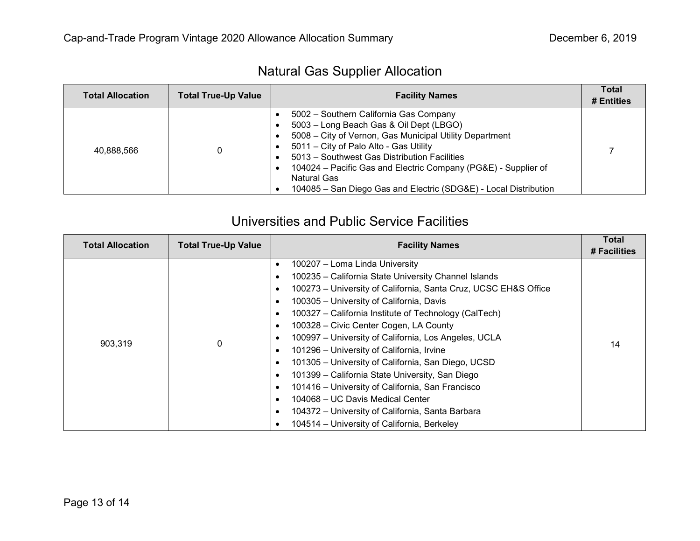| <b>Natural Gas Supplier Allocation</b> |  |  |
|----------------------------------------|--|--|
|----------------------------------------|--|--|

| <b>Total Allocation</b> | <b>Total True-Up Value</b> | <b>Facility Names</b>                                                                                                                                                                                                                                                                                                                                                                                    | <b>Total</b><br># Entities |
|-------------------------|----------------------------|----------------------------------------------------------------------------------------------------------------------------------------------------------------------------------------------------------------------------------------------------------------------------------------------------------------------------------------------------------------------------------------------------------|----------------------------|
| 40.888.566              |                            | 5002 - Southern California Gas Company<br>5003 - Long Beach Gas & Oil Dept (LBGO)<br>5008 - City of Vernon, Gas Municipal Utility Department<br>$\bullet$<br>5011 – City of Palo Alto - Gas Utility<br>5013 - Southwest Gas Distribution Facilities<br>104024 – Pacific Gas and Electric Company (PG&E) - Supplier of<br>Natural Gas<br>104085 - San Diego Gas and Electric (SDG&E) - Local Distribution |                            |

### Universities and Public Service Facilities

| <b>Total Allocation</b> | <b>Total True-Up Value</b> | <b>Facility Names</b>                                                                                                                                                                                                                                                                                                                                                                                                                                                                                                                                                                                                                                                                                                                                                                 | <b>Total</b><br># Facilities |
|-------------------------|----------------------------|---------------------------------------------------------------------------------------------------------------------------------------------------------------------------------------------------------------------------------------------------------------------------------------------------------------------------------------------------------------------------------------------------------------------------------------------------------------------------------------------------------------------------------------------------------------------------------------------------------------------------------------------------------------------------------------------------------------------------------------------------------------------------------------|------------------------------|
| 903,319                 | 0                          | 100207 – Loma Linda University<br>100235 - California State University Channel Islands<br>٠<br>100273 - University of California, Santa Cruz, UCSC EH&S Office<br>٠<br>100305 - University of California, Davis<br>٠<br>100327 - California Institute of Technology (CalTech)<br>٠<br>100328 - Civic Center Cogen, LA County<br>٠<br>100997 - University of California, Los Angeles, UCLA<br>٠<br>101296 - University of California, Irvine<br>٠<br>101305 - University of California, San Diego, UCSD<br>٠<br>101399 - California State University, San Diego<br>٠<br>101416 - University of California, San Francisco<br>٠<br>104068 - UC Davis Medical Center<br>$\bullet$<br>104372 - University of California, Santa Barbara<br>٠<br>104514 - University of California, Berkeley | 14                           |